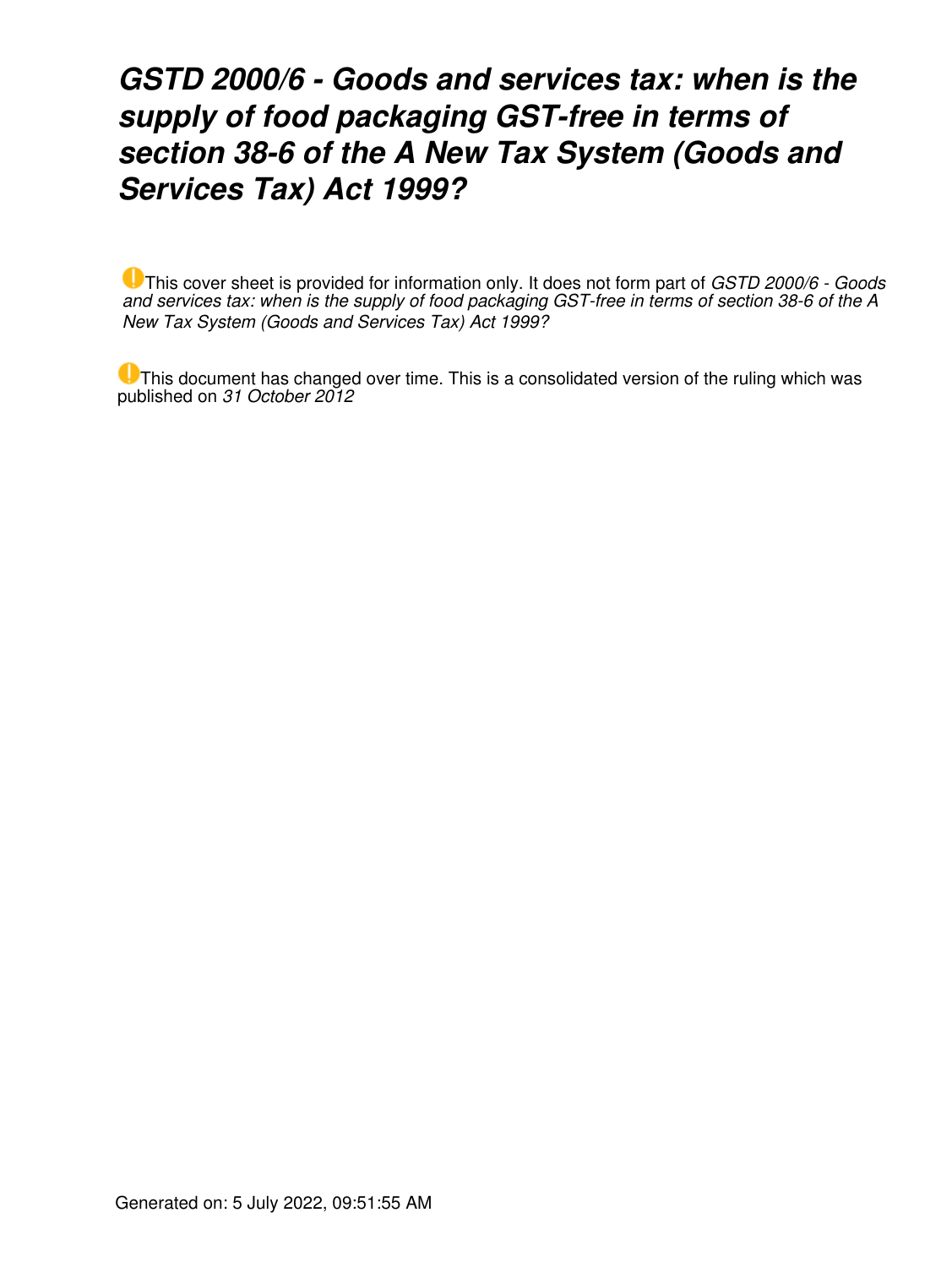## *GSTD 2000/6 - Goods and services tax: when is the supply of food packaging GST-free in terms of section 38-6 of the A New Tax System (Goods and Services Tax) Act 1999?*

This cover sheet is provided for information only. It does not form part of *GSTD 2000/6 - Goods and services tax: when is the supply of food packaging GST-free in terms of section 38-6 of the A New Tax System (Goods and Services Tax) Act 1999?*

This document has changed over time. This is a consolidated version of the ruling which was published on *31 October 2012*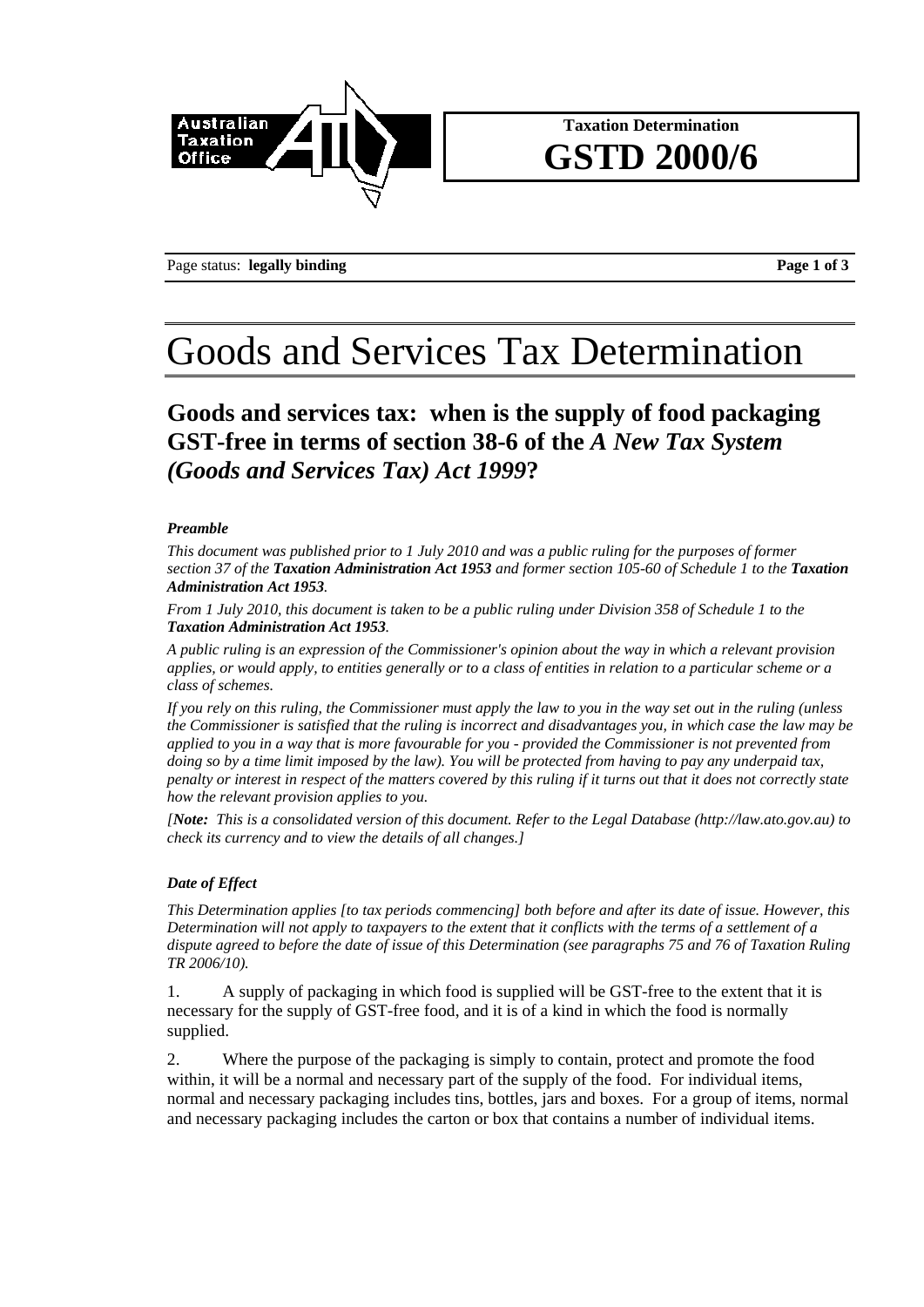

### **Taxation Determination GSTD 2000/6**

Page status: **legally binding Page 1 of 3** 

# Goods and Services Tax Determination

**Goods and services tax: when is the supply of food packaging GST-free in terms of section 38-6 of the** *A New Tax System (Goods and Services Tax) Act 1999***?**

#### *Preamble*

*This document was published prior to 1 July 2010 and was a public ruling for the purposes of former section 37 of the Taxation Administration Act 1953 and former section 105-60 of Schedule 1 to the Taxation Administration Act 1953.* 

*From 1 July 2010, this document is taken to be a public ruling under Division 358 of Schedule 1 to the Taxation Administration Act 1953.* 

*A public ruling is an expression of the Commissioner's opinion about the way in which a relevant provision applies, or would apply, to entities generally or to a class of entities in relation to a particular scheme or a class of schemes.* 

*If you rely on this ruling, the Commissioner must apply the law to you in the way set out in the ruling (unless the Commissioner is satisfied that the ruling is incorrect and disadvantages you, in which case the law may be applied to you in a way that is more favourable for you - provided the Commissioner is not prevented from doing so by a time limit imposed by the law). You will be protected from having to pay any underpaid tax, penalty or interest in respect of the matters covered by this ruling if it turns out that it does not correctly state how the relevant provision applies to you.* 

*[Note: This is a consolidated version of this document. Refer to the Legal Database (http://law.ato.gov.au) to check its currency and to view the details of all changes.]* 

#### *Date of Effect*

*This Determination applies [to tax periods commencing] both before and after its date of issue. However, this Determination will not apply to taxpayers to the extent that it conflicts with the terms of a settlement of a dispute agreed to before the date of issue of this Determination (see paragraphs 75 and 76 of Taxation Ruling TR 2006/10).* 

1. A supply of packaging in which food is supplied will be GST-free to the extent that it is necessary for the supply of GST-free food, and it is of a kind in which the food is normally supplied.

2. Where the purpose of the packaging is simply to contain, protect and promote the food within, it will be a normal and necessary part of the supply of the food. For individual items, normal and necessary packaging includes tins, bottles, jars and boxes. For a group of items, normal and necessary packaging includes the carton or box that contains a number of individual items.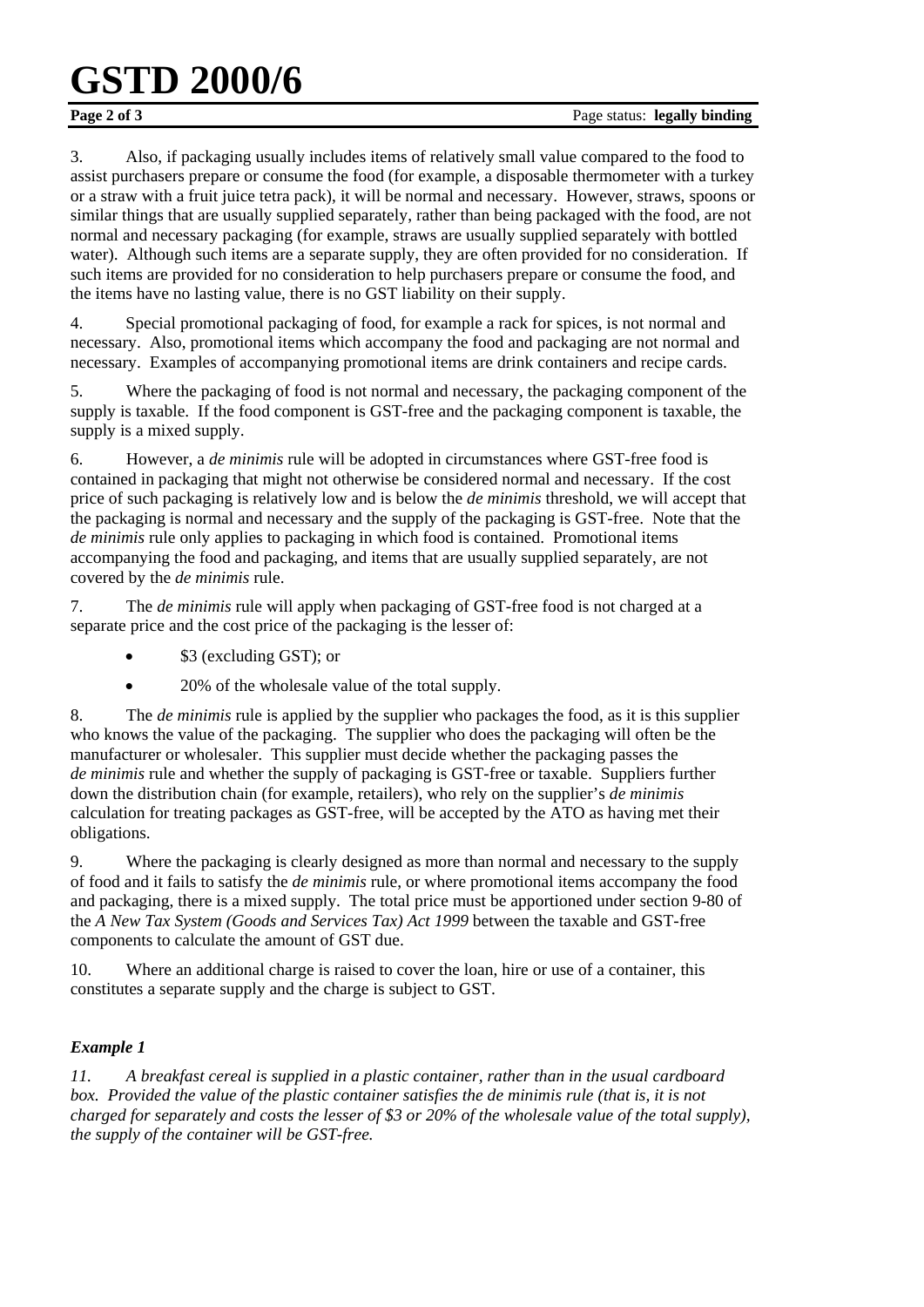# **GSTD 2000/6**

3. Also, if packaging usually includes items of relatively small value compared to the food to assist purchasers prepare or consume the food (for example, a disposable thermometer with a turkey or a straw with a fruit juice tetra pack), it will be normal and necessary. However, straws, spoons or similar things that are usually supplied separately, rather than being packaged with the food, are not normal and necessary packaging (for example, straws are usually supplied separately with bottled water). Although such items are a separate supply, they are often provided for no consideration. If such items are provided for no consideration to help purchasers prepare or consume the food, and the items have no lasting value, there is no GST liability on their supply.

4. Special promotional packaging of food, for example a rack for spices, is not normal and necessary. Also, promotional items which accompany the food and packaging are not normal and necessary. Examples of accompanying promotional items are drink containers and recipe cards.

5. Where the packaging of food is not normal and necessary, the packaging component of the supply is taxable. If the food component is GST-free and the packaging component is taxable, the supply is a mixed supply.

6. However, a *de minimis* rule will be adopted in circumstances where GST-free food is contained in packaging that might not otherwise be considered normal and necessary. If the cost price of such packaging is relatively low and is below the *de minimis* threshold, we will accept that the packaging is normal and necessary and the supply of the packaging is GST-free. Note that the *de minimis* rule only applies to packaging in which food is contained. Promotional items accompanying the food and packaging, and items that are usually supplied separately, are not covered by the *de minimis* rule.

7. The *de minimis* rule will apply when packaging of GST-free food is not charged at a separate price and the cost price of the packaging is the lesser of:

- \$3 (excluding GST); or
- 20% of the wholesale value of the total supply.

8. The *de minimis* rule is applied by the supplier who packages the food, as it is this supplier who knows the value of the packaging. The supplier who does the packaging will often be the manufacturer or wholesaler. This supplier must decide whether the packaging passes the *de minimis* rule and whether the supply of packaging is GST-free or taxable. Suppliers further down the distribution chain (for example, retailers), who rely on the supplier's *de minimis* calculation for treating packages as GST-free, will be accepted by the ATO as having met their obligations.

9. Where the packaging is clearly designed as more than normal and necessary to the supply of food and it fails to satisfy the *de minimis* rule, or where promotional items accompany the food and packaging, there is a mixed supply. The total price must be apportioned under section 9-80 of the *A New Tax System (Goods and Services Tax) Act 1999* between the taxable and GST-free components to calculate the amount of GST due.

10. Where an additional charge is raised to cover the loan, hire or use of a container, this constitutes a separate supply and the charge is subject to GST.

### *Example 1*

*11. A breakfast cereal is supplied in a plastic container, rather than in the usual cardboard*  box. Provided the value of the plastic container satisfies the de minimis rule (that is, it is not *charged for separately and costs the lesser of \$3 or 20% of the wholesale value of the total supply), the supply of the container will be GST-free.*